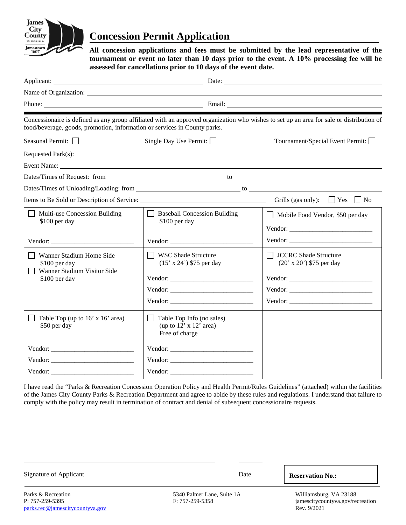

# **Concession Permit Application**

**All concession applications and fees must be submitted by the lead representative of the tournament or event no later than 10 days prior to the event. A 10% processing fee will be assessed for cancellations prior to 10 days of the event date.**

|                                                                                                                                                                                                                               |                                                                                      | Date:                                                                                                                                    |
|-------------------------------------------------------------------------------------------------------------------------------------------------------------------------------------------------------------------------------|--------------------------------------------------------------------------------------|------------------------------------------------------------------------------------------------------------------------------------------|
| Name of Organization: Name of Organization:                                                                                                                                                                                   |                                                                                      |                                                                                                                                          |
|                                                                                                                                                                                                                               |                                                                                      |                                                                                                                                          |
| food/beverage, goods, promotion, information or services in County parks.                                                                                                                                                     |                                                                                      | Concessionaire is defined as any group affiliated with an approved organization who wishes to set up an area for sale or distribution of |
| Seasonal Permit: $\Box$                                                                                                                                                                                                       | Single Day Use Permit: $\Box$                                                        | Tournament/Special Event Permit: □                                                                                                       |
|                                                                                                                                                                                                                               |                                                                                      |                                                                                                                                          |
| Event Name: University of the Contract of the Contract of the Contract of the Contract of the Contract of the Contract of the Contract of the Contract of the Contract of the Contract of the Contract of the Contract of the |                                                                                      |                                                                                                                                          |
|                                                                                                                                                                                                                               |                                                                                      |                                                                                                                                          |
|                                                                                                                                                                                                                               |                                                                                      |                                                                                                                                          |
|                                                                                                                                                                                                                               |                                                                                      | Grills (gas only): $\Box$ Yes $\Box$ No                                                                                                  |
| $\Box$ Multi-use Concession Building<br>\$100 per day                                                                                                                                                                         | <b>Baseball Concession Building</b><br>$\Box$<br>\$100 per day                       | Mobile Food Vendor, \$50 per day                                                                                                         |
|                                                                                                                                                                                                                               |                                                                                      |                                                                                                                                          |
| Wanner Stadium Home Side<br>\$100 per day<br>Wanner Stadium Visitor Side                                                                                                                                                      | WSC Shade Structure<br>$(15' \times 24')$ \$75 per day                               | □ JCCRC Shade Structure<br>$(20' \times 20')$ \$75 per day                                                                               |
| \$100 per day                                                                                                                                                                                                                 |                                                                                      |                                                                                                                                          |
|                                                                                                                                                                                                                               |                                                                                      |                                                                                                                                          |
|                                                                                                                                                                                                                               |                                                                                      |                                                                                                                                          |
| Table Top (up to 16' x 16' area)<br>\$50 per day                                                                                                                                                                              | Table Top Info (no sales)<br>$\perp$<br>(up to $12'$ x $12'$ area)<br>Free of charge |                                                                                                                                          |
|                                                                                                                                                                                                                               |                                                                                      |                                                                                                                                          |
|                                                                                                                                                                                                                               |                                                                                      |                                                                                                                                          |
|                                                                                                                                                                                                                               |                                                                                      |                                                                                                                                          |

I have read the "Parks & Recreation Concession Operation Policy and Health Permit/Rules Guidelines" (attached) within the facilities of the James City County Parks & Recreation Department and agree to abide by these rules and regulations. I understand that failure to comply with the policy may result in termination of contract and denial of subsequent concessionaire requests.

| Signature of Applicant | Date                       | <b>Reservation No.:</b> |
|------------------------|----------------------------|-------------------------|
| Parks & Recreation     | 5340 Palmer Lane, Suite 1A | Williamsburg, VA 23188  |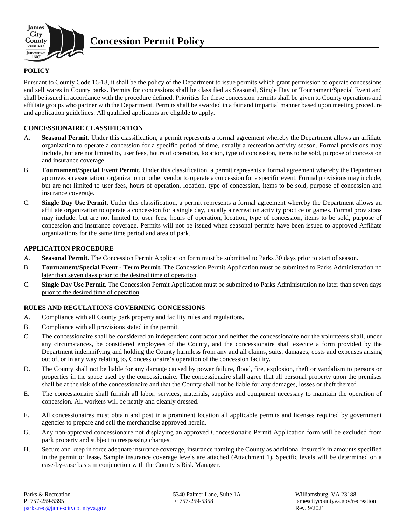

**Concession Permit Policy**

## **POLICY**

Pursuant to County Code 16-18, it shall be the policy of the Department to issue permits which grant permission to operate concessions and sell wares in County parks. Permits for concessions shall be classified as Seasonal, Single Day or Tournament/Special Event and shall be issued in accordance with the procedure defined. Priorities for these concession permits shall be given to County operations and affiliate groups who partner with the Department. Permits shall be awarded in a fair and impartial manner based upon meeting procedure and application guidelines. All qualified applicants are eligible to apply.

## **CONCESSIONAIRE CLASSIFICATION**

- A. **Seasonal Permit.** Under this classification, a permit represents a formal agreement whereby the Department allows an affiliate organization to operate a concession for a specific period of time, usually a recreation activity season. Formal provisions may include, but are not limited to, user fees, hours of operation, location, type of concession, items to be sold, purpose of concession and insurance coverage.
- B. **Tournament/Special Event Permit.** Under this classification, a permit represents a formal agreement whereby the Department approves an association, organization or other vendor to operate a concession for a specific event. Formal provisions may include, but are not limited to user fees, hours of operation, location, type of concession, items to be sold, purpose of concession and insurance coverage.
- C. **Single Day Use Permit.** Under this classification, a permit represents a formal agreement whereby the Department allows an affiliate organization to operate a concession for a single day, usually a recreation activity practice or games. Formal provisions may include, but are not limited to, user fees, hours of operation, location, type of concession, items to be sold, purpose of concession and insurance coverage. Permits will not be issued when seasonal permits have been issued to approved Affiliate organizations for the same time period and area of park.

#### **APPLICATION PROCEDURE**

- A. **Seasonal Permit.** The Concession Permit Application form must be submitted to Parks 30 days prior to start of season.
- B. **Tournament/Special Event - Term Permit.** The Concession Permit Application must be submitted to Parks Administration no later than seven days prior to the desired time of operation.
- C. **Single Day Use Permit.** The Concession Permit Application must be submitted to Parks Administration no later than seven days prior to the desired time of operation.

## **RULES AND REGULATIONS GOVERNING CONCESSIONS**

- A. Compliance with all County park property and facility rules and regulations.
- B. Compliance with all provisions stated in the permit.
- C. The concessionaire shall be considered an independent contractor and neither the concessionaire nor the volunteers shall, under any circumstances, be considered employees of the County, and the concessionaire shall execute a form provided by the Department indemnifying and holding the County harmless from any and all claims, suits, damages, costs and expenses arising out of, or in any way relating to, Concessionaire's operation of the concession facility.
- D. The County shall not be liable for any damage caused by power failure, flood, fire, explosion, theft or vandalism to persons or properties in the space used by the concessionaire. The concessionaire shall agree that all personal property upon the premises shall be at the risk of the concessionaire and that the County shall not be liable for any damages, losses or theft thereof.
- E. The concessionaire shall furnish all labor, services, materials, supplies and equipment necessary to maintain the operation of concession. All workers will be neatly and cleanly dressed.
- F. All concessionaires must obtain and post in a prominent location all applicable permits and licenses required by government agencies to prepare and sell the merchandise approved herein.
- G. Any non-approved concessionaire not displaying an approved Concessionaire Permit Application form will be excluded from park property and subject to trespassing charges.
- H. Secure and keep in force adequate insurance coverage, insurance naming the County as additional insured's in amounts specified in the permit or lease. Sample insurance coverage levels are attached (Attachment 1). Specific levels will be determined on a case-by-case basis in conjunction with the County's Risk Manager.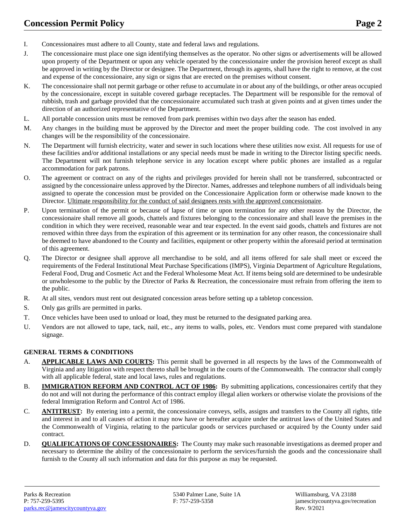- I. Concessionaires must adhere to all County, state and federal laws and regulations.
- J. The concessionaire must place one sign identifying themselves as the operator. No other signs or advertisements will be allowed upon property of the Department or upon any vehicle operated by the concessionaire under the provision hereof except as shall be approved in writing by the Director or designee. The Department, through its agents, shall have the right to remove, at the cost and expense of the concessionaire, any sign or signs that are erected on the premises without consent.
- K. The concessionaire shall not permit garbage or other refuse to accumulate in or about any of the buildings, or other areas occupied by the concessionaire, except in suitable covered garbage receptacles. The Department will be responsible for the removal of rubbish, trash and garbage provided that the concessionaire accumulated such trash at given points and at given times under the direction of an authorized representative of the Department.
- L. All portable concession units must be removed from park premises within two days after the season has ended.
- M. Any changes in the building must be approved by the Director and meet the proper building code. The cost involved in any changes will be the responsibility of the concessionaire.
- N. The Department will furnish electricity, water and sewer in such locations where these utilities now exist. All requests for use of these facilities and/or additional installations or any special needs must be made in writing to the Director listing specific needs. The Department will not furnish telephone service in any location except where public phones are installed as a regular accommodation for park patrons.
- O. The agreement or contract on any of the rights and privileges provided for herein shall not be transferred, subcontracted or assigned by the concessionaire unless approved by the Director. Names, addresses and telephone numbers of all individuals being assigned to operate the concession must be provided on the Concessionaire Application form or otherwise made known to the Director. Ultimate responsibility for the conduct of said designees rests with the approved concessionaire.
- P. Upon termination of the permit or because of lapse of time or upon termination for any other reason by the Director, the concessionaire shall remove all goods, chattels and fixtures belonging to the concessionaire and shall leave the premises in the condition in which they were received, reasonable wear and tear expected. In the event said goods, chattels and fixtures are not removed within three days from the expiration of this agreement or its termination for any other reason, the concessionaire shall be deemed to have abandoned to the County and facilities, equipment or other property within the aforesaid period at termination of this agreement.
- Q. The Director or designee shall approve all merchandise to be sold, and all items offered for sale shall meet or exceed the requirements of the Federal Institutional Meat Purchase Specifications (IMPS), Virginia Department of Agriculture Regulations, Federal Food, Drug and Cosmetic Act and the Federal Wholesome Meat Act. If items being sold are determined to be undesirable or unwholesome to the public by the Director of Parks & Recreation, the concessionaire must refrain from offering the item to the public.
- R. At all sites, vendors must rent out designated concession areas before setting up a tabletop concession.
- S. Only gas grills are permitted in parks.
- T. Once vehicles have been used to unload or load, they must be returned to the designated parking area.
- U. Vendors are not allowed to tape, tack, nail, etc., any items to walls, poles, etc. Vendors must come prepared with standalone signage.

#### **GENERAL TERMS & CONDITIONS**

- A. **APPLICABLE LAWS AND COURTS:** This permit shall be governed in all respects by the laws of the Commonwealth of Virginia and any litigation with respect thereto shall be brought in the courts of the Commonwealth. The contractor shall comply with all applicable federal, state and local laws, rules and regulations.
- B. **IMMIGRATION REFORM AND CONTROL ACT OF 1986:** By submitting applications, concessionaires certify that they do not and will not during the performance of this contract employ illegal alien workers or otherwise violate the provisions of the federal Immigration Reform and Control Act of 1986.
- C. **ANTITRUST:** By entering into a permit, the concessionaire conveys, sells, assigns and transfers to the County all rights, title and interest in and to all causes of action it may now have or hereafter acquire under the antitrust laws of the United States and the Commonwealth of Virginia, relating to the particular goods or services purchased or acquired by the County under said contract.
- D. **QUALIFICATIONS OF CONCESSIONAIRES:** The County may make such reasonable investigations as deemed proper and necessary to determine the ability of the concessionaire to perform the services/furnish the goods and the concessionaire shall furnish to the County all such information and data for this purpose as may be requested.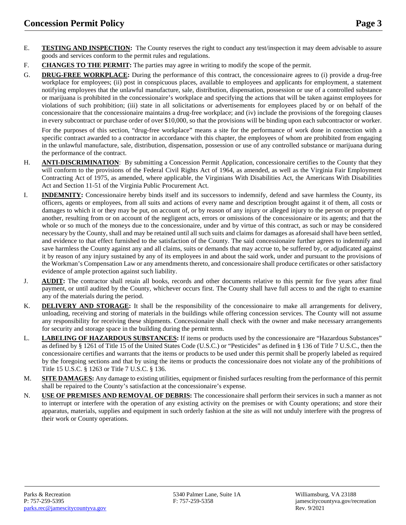- E. **TESTING AND INSPECTION:** The County reserves the right to conduct any test/inspection it may deem advisable to assure goods and services conform to the permit rules and regulations.
- F. **CHANGES TO THE PERMIT:** The parties may agree in writing to modify the scope of the permit.
- G. **DRUG-FREE WORKPLACE:** During the performance of this contract, the concessionaire agrees to (i) provide a drug-free workplace for employees; (ii) post in conspicuous places, available to employees and applicants for employment, a statement notifying employees that the unlawful manufacture, sale, distribution, dispensation, possession or use of a controlled substance or marijuana is prohibited in the concessionaire's workplace and specifying the actions that will be taken against employees for violations of such prohibition; (iii) state in all solicitations or advertisements for employees placed by or on behalf of the concessionaire that the concessionaire maintains a drug-free workplace; and (iv) include the provisions of the foregoing clauses in every subcontract or purchase order of over \$10,000, so that the provisions will be binding upon each subcontractor or worker.

For the purposes of this section, "drug-free workplace" means a site for the performance of work done in connection with a specific contract awarded to a contractor in accordance with this chapter, the employees of whom are prohibited from engaging in the unlawful manufacture, sale, distribution, dispensation, possession or use of any controlled substance or marijuana during the performance of the contract.

- H. **ANTI-DISCRIMINATION**: By submitting a Concession Permit Application, concessionaire certifies to the County that they will conform to the provisions of the Federal Civil Rights Act of 1964, as amended, as well as the Virginia Fair Employment Contracting Act of 1975, as amended, where applicable, the Virginians With Disabilities Act, the Americans With Disabilities Act and Section 11-51 of the Virginia Public Procurement Act.
- I. **INDEMNITY:** Concessionaire hereby binds itself and its successors to indemnify, defend and save harmless the County, its officers, agents or employees, from all suits and actions of every name and description brought against it of them, all costs or damages to which it or they may be put, on account of, or by reason of any injury or alleged injury to the person or property of another, resulting from or on account of the negligent acts, errors or omissions of the concessionaire or its agents; and that the whole or so much of the moneys due to the concessionaire, under and by virtue of this contract, as such or may be considered necessary by the County, shall and may be retained until all such suits and claims for damages as aforesaid shall have been settled, and evidence to that effect furnished to the satisfaction of the County. The said concessionaire further agrees to indemnify and save harmless the County against any and all claims, suits or demands that may accrue to, be suffered by, or adjudicated against it by reason of any injury sustained by any of its employees in and about the said work, under and pursuant to the provisions of the Workman's Compensation Law or any amendments thereto, and concessionaire shall produce certificates or other satisfactory evidence of ample protection against such liability.
- J. **AUDIT:** The contractor shall retain all books, records and other documents relative to this permit for five years after final payment, or until audited by the County, whichever occurs first. The County shall have full access to and the right to examine any of the materials during the period.
- K. **DELIVERY AND STORAGE:** It shall be the responsibility of the concessionaire to make all arrangements for delivery, unloading, receiving and storing of materials in the buildings while offering concession services. The County will not assume any responsibility for receiving these shipments. Concessionaire shall check with the owner and make necessary arrangements for security and storage space in the building during the permit term.
- L. **LABELING OF HAZARDOUS SUBSTANCES:** If items or products used by the concessionaire are "Hazardous Substances" as defined by § 1261 of Title 15 of the United States Code (U.S.C.) or "Pesticides" as defined in § 136 of Title 7 U.S.C., then the concessionaire certifies and warrants that the items or products to be used under this permit shall be properly labeled as required by the foregoing sections and that by using the items or products the concessionaire does not violate any of the prohibitions of Title 15 U.S.C. § 1263 or Title 7 U.S.C. § 136.
- M. **SITE DAMAGES:** Any damage to existing utilities, equipment or finished surfaces resulting from the performance of this permit shall be repaired to the County's satisfaction at the concessionaire's expense.
- N. **USE OF PREMISES AND REMOVAL OF DEBRIS:** The concessionaire shall perform their services in such a manner as not to interrupt or interfere with the operation of any existing activity on the premises or with County operations; and store their apparatus, materials, supplies and equipment in such orderly fashion at the site as will not unduly interfere with the progress of their work or County operations.